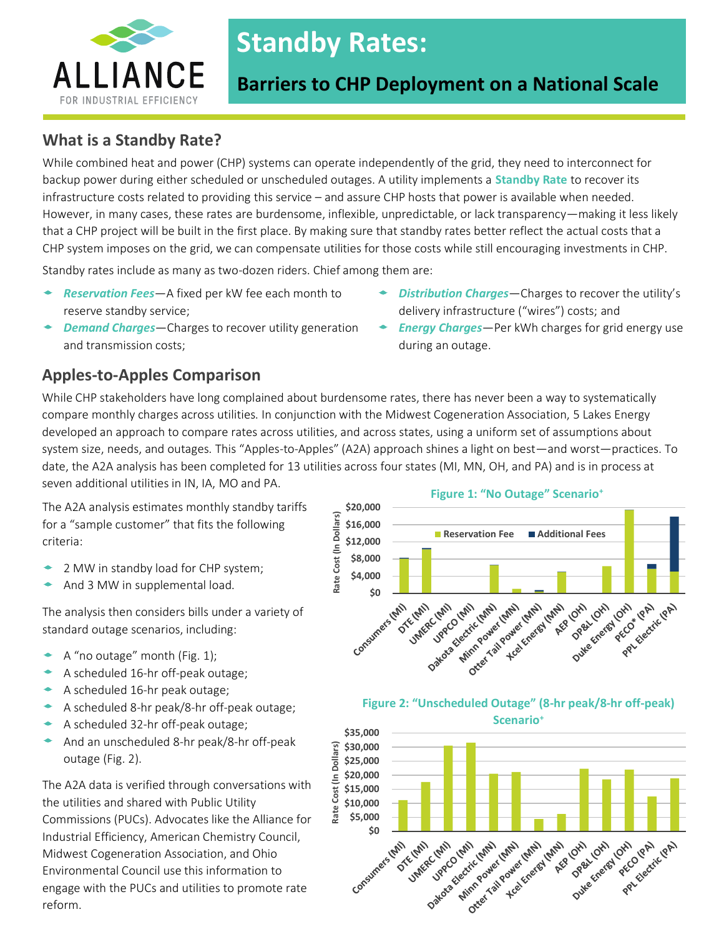

# **Standby Rates:**

# **Barriers to CHP Deployment on a National Scale**

during an outage.

# **What is a Standby Rate?**

While combined heat and power (CHP) systems can operate independently of the grid, they need to interconnect for backup power during either scheduled or unscheduled outages. A utility implements a **Standby Rate** to recover its infrastructure costs related to providing this service – and assure CHP hosts that power is available when needed. However, in many cases, these rates are burdensome, inflexible, unpredictable, or lack transparency—making it less likely that a CHP project will be built in the first place. By making sure that standby rates better reflect the actual costs that a CHP system imposes on the grid, we can compensate utilities for those costs while still encouraging investments in CHP.

Standby rates include as many as two-dozen riders. Chief among them are:

- *Reservation Fees*—A fixed per kW fee each month to reserve standby service;
- *Demand Charges*—Charges to recover utility generation and transmission costs;

## **Apples-to-Apples Comparison**

While CHP stakeholders have long complained about burdensome rates, there has never been a way to systematically compare monthly charges across utilities. In conjunction with the Midwest Cogeneration Association, 5 Lakes Energy developed an approach to compare rates across utilities, and across states, using a uniform set of assumptions about system size, needs, and outages. This "Apples-to-Apples" (A2A) approach shines a light on best—and worst—practices. To date, the A2A analysis has been completed for 13 utilities across four states (MI, MN, OH, and PA) and is in process at seven additional utilities in IN, IA, MO and PA.

The A2A analysis estimates monthly standby tariffs for a "sample customer" that fits the following criteria:

- 2 MW in standby load for CHP system;
- And 3 MW in supplemental load.

The analysis then considers bills under a variety of standard outage scenarios, including:

- A "no outage" month (Fig. 1);
- A scheduled 16-hr off-peak outage;
- A scheduled 16-hr peak outage;
- A scheduled 8-hr peak/8-hr off-peak outage;
- A scheduled 32-hr off-peak outage;
- And an unscheduled 8-hr peak/8-hr off-peak outage (Fig. 2).

The A2A data is verified through conversations with the utilities and shared with Public Utility Commissions (PUCs). Advocates like the Alliance for Industrial Efficiency, American Chemistry Council, Midwest Cogeneration Association, and Ohio Environmental Council use this information to engage with the PUCs and utilities to promote rate reform.







#### **Figure 1: "No Outage" Scenario<sup>+</sup>**

*Distribution Charges*—Charges to recover the utility's

*Energy Charges*—Per kWh charges for grid energy use

delivery infrastructure ("wires") costs; and